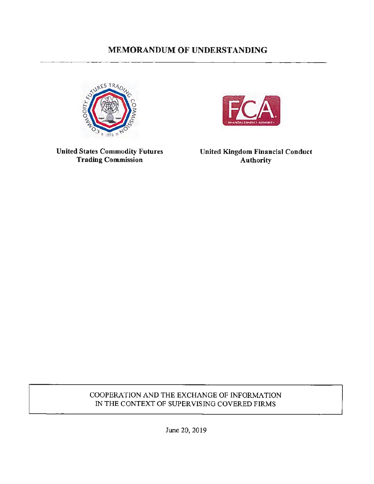# **MEMORANDUM OF UNDERSTANDING**





**United States Commodity Futures Trading Commission** 

**United Kingdom Financial Conduct Authority** 

# COOPERATION AND THE EXCHANGE OF INFORMATION IN THE CONTEXT OF SUPERVISING COVERED FIRMS

June 20, 2019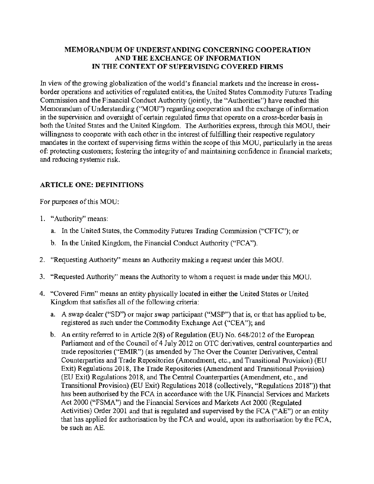#### **MEMORANDUM OF UNDERSTANDING CONCERNING COOPERATION AND THE EXCHANGE OF INFORMATION IN THE CONTEXT OF SUPERVISING COVERED FIRMS**

In view of the growing globalization of the world's financial markets and the increase in crossborder operations and activities of regulated entities, the United States Commodity Futures Trading Commission and the Financial Conduct Authority (jointly, the "Authorities") have reached this Memorandum of Understanding ("MOU") regarding cooperation and the exchange of information in the supervision and oversight of certain regulated firms that operate on a cross-border basis in both the United States and the United Kingdom. The Authorities express, through this MOU, their willingness to cooperate with each other in the interest of fulfilling their respective regulatory mandates in the context of supervising firms within the scope of this MOU, particularly in the areas of: protecting customers; fostering the integrity of and maintaining confidence in financial markets; and reducing systemic risk.

### **ARTICLE ONE: DEFINITIONS**

For purposes of this MOU:

- 1. "Authority" means:
	- a. In the United States, the Commodity Futures Trading Commission ("CFTC"); or
	- b. In the United Kingdom, the Financial Conduct Authority ("FCA").
- 2. "Requesting Authority" means an Authority making a request under this MOU.
- 3. "Requested Authority" means the Authority to whom a request is made under this MOU.
- 4. "Covered Firm" means an entity physically located in either the United States or United Kingdom that satisfies all of the following criteria:
	- a. A swap dealer ("SD") or major swap participant ("MSP") that is, or that has applied to be, registered as such under the Commodity Exchange Act ("CEA"); and
	- b. An entity referred to in Article 2(8) of Regulation (EU) No. 648/2012 of the European Parliament and of the Council of 4 July 2012 on OTC derivatives, central counterparties and trade repositories ("EMIR") (as amended by The Over the Counter Derivatives, Central Counterparties and Trade Repositories (Amendment, etc., and Transitional Provision) (EU Exit) Regulations 2018, The Trade Repositories (Amendment and Transitional Provision) (EU Exit) Regulations 2018, and The Central Counterparties (Amendment, etc., and Transitional Provision) (EU Exit) Regulations 2018 (collectively, "Regulations 2018")) that has been authorised by the FCA in accordance with the UK Financial Services and Markets Act 2000 ("FSMA") and the Financial Services and Markets Act 2000 (Regulated Activities) Order 2001 and that is regulated and supervised by the FCA ("AE") or an entity that has applied for authorisation by the FCA and would, upon its authorisation by the FCA, be such an AE.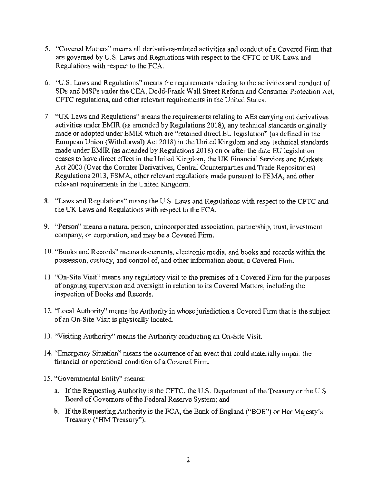- 5. "Covered Matters" means all derivatives-related activities and conduct of a Covered Firm that are governed by U.S. Laws and Regulations with respect to the CFTC or UK Laws and Regulations with respect to the FCA.
- 6. "U.S. Laws and Regulations" means the requirements relating to the activities and conduct of SDs and MSPs under the CEA, Dodd-Frank Wall Street Reform and Consumer Protection Act, CFTC regulations, and other relevant requirements in the United States.
- 7. "UK Laws and Regulations" means the requirements relating to AEs carrying out derivatives activities under EMIR (as amended by Regulations 2018), any technical standards originally made or adopted under EMIR which are "retained direct EU legislation" ( as defined in the European Union (Withdrawal) Act 2018) in the United Kingdom and any technical standards made under EMIR ( as amended by Regulations 2018) on or after the date EU legislation ceases *to* have direct effect in the United Kingdom, the UK Financial Services and Markets Act 2000 (Over the Counter Derivatives, Central Counterparties and Trade Repositories) Regulations 2013, FSMA, other relevant regulations made pursuant to FSMA, and other relevant requirements in the United Kingdom.
- 8. "Laws and Regulations" means the U.S. Laws and Regulations with respect to the CFTC and the UK Laws and Regulations with respect to the FCA.
- 9. "Person" means a natural person, unincorporated association, partnership, trust, investment company, or corporation, and may be a Covered Firm.
- 10. "Books and Records" means documents, electronic media, and books and records within the possession, custody, and control of, and other information about, a Covered Firm.
- 11. "On-Site Visit" means any regulatory visit to the premises of a Covered Firm for the purposes of ongoing supervision and oversight in relation to its Covered Matters, including the inspection of Books and Records.
- 12. "Local Authority" means the Authority in whose jurisdiction a Covered Firm that is the subject of an On-Site Visit is physically located.
- 13. "Visiting Authority" means the Authority conducting an On-Site Visit.
- 14. "Emergency Situation" means the occurrence of an event that could materially impair the financial or operational condition of a Covered Finn.
- 15. "Governmental Entity" means:
	- a. If the Requesting Authority is the CFTC, the U.S. Department of the Treasury or the U.S. Board of Governors of the Federal Reserve System; and
	- b. If the Requesting Authority is the FCA, the Bank of England ("BOE") or Her Majesty's Treasury ("HM Treasury").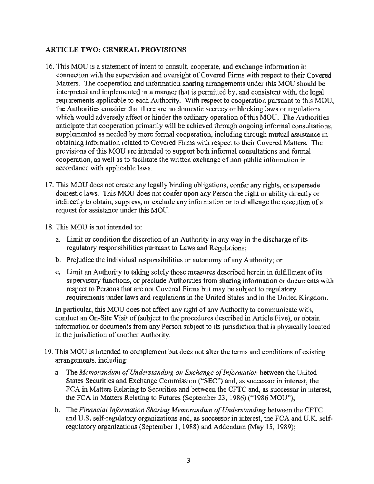#### **ARTICLE TWO: GENERAL PROVISIONS**

- 16. This MOU is a statement of intent to consult, cooperate, and exchange information in connection with the supervision and oversight of Covered Firms with respect to their Covered Matters. The cooperation and information sharing arrangements under this MOU should be interpreted and implemented in a manner that is permitted by, and consistent with, the legal requirements applicable to each Authority. With respect to cooperation pursuant to this MOU, the Authorities consider that there are no domestic secrecy or blocking laws or regulations which would adversely affect or hinder the ordinary operation of this MOU. The Authorities anticipate that cooperation primarily will be achieved through ongoing informal consultations, supplemented as needed by more formal cooperation, including through mutual assistance in obtaining information related to Covered Firms with respect to their Covered Matters. The provisions of this MOU are intended to support both informal consultations and formal cooperation, as well as to facilitate the written exchange of non-public information in accordance with applicable laws.
- 17. This MOU does not create any legally binding obligations, confer any rights, or supersede domestic laws. This MOU does not confer upon any Person the right or ability directly or indirectly to obtain, suppress, or exclude any information or to challenge the execution of a request for assistance under this MOU.
- 18. This MOU is not intended to:
	- a. Limit or condition the discretion of an Authority in any way in the discharge of its regulatory responsibilities pursuant to Laws and Regulations;
	- b. Prejudice the individual responsibilities or autonomy of any Authority; or
	- c. Limit an Authority to taking solely those measures described herein in fulfillment of its supervisory functions, or preclude Authorities from sharing information or documents with respect to Persons that are not Covered Firms but may be subject to regulatory requirements under laws and regulations in the United States and in the United Kingdom.

In particular, this MOU does not affect any right of any Authority to communicate with, conduct an On-Site Visit of (subject to the procedures described in Article Five), or obtain information or documents from any Person subject to its jurisdiction that is physically located **in** the jurisdiction of another Authority.

- 19. This MOU is intended to complement but does not alter the terms and conditions of existing arrangements, including:
	- a. The *Memorandum of Understanding on Exchange of Information* between the United States Securities and Exchange Commission ("SEC") and, as successor in interest, the FCA in Matters Relating to Securities and between the CFTC and, as successor in interest, the FCA in Matters Relating to Futures (September 23, 1986) ("1986 MOU");
	- b. The *Financial Information Sharing Memorandum of Understanding* between the CFTC and U.S. self-regulatory organizations and, as successor in interest, the FCA and U.K. selfregulatory organizations (September 1, 1988) and Addendum (May 15, 1989);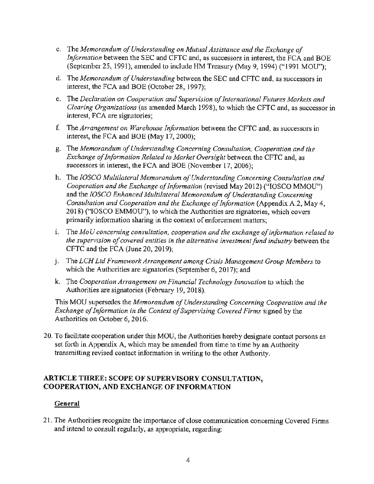- c. The *Memorandum of Understanding on Mutual Assistance and the Exchange of Information* between the SEC and CFTC and, as successors in interest, the FCA and BOE (September 25, 1991), amended to include HM Treasury (May 9, 1994) ("1991 MOU");
- d. The *Memorandum of Understanding* between **the** SEC and CFTC and, as successors in interest, the FCA and BOE (October 28, 1997);
- e. The *Declaration on Cooperation and Supervision of International Futures Markets and Clearing Organizations* (as amended March 1998), to which the CFTC and, as successor in interest, FCA are signatories;
- f The *Arrangement on Warehouse Information* between the CFTC and, as successors in interest, the FCA and BOE (May 17, 2000);
- g. The *Memorandum of Understanding Concerning Consultation, Cooperation and the Exchange of Information Related to Market Oversight* between the CFTC and, as successors in interest, the FCA and BOE (November 17, 2006);
- h. The *]OSCO Multilateral Memorandum of Understanding Concerning Consultation and Cooperation and the Exchange of Information* (revised May 2012) ("IOSCO MMOU") and the *]OSCO Enhanced Multilateral Memorandum of Understanding Concerning Consultation and Cooperation and the Exchange of Information* (Appendix A.2, May 4, 2018) ("IOSCO EMMOU"), to which the Authorities are signatories, which covers primarily information sharing in the context of enforcement matters;
- 1. The *Mo U concerning consultation, cooperation and the exchange of information related to the supervision of covered entities in the alternative investment fund industry between the* CFTC and the FCA (June 20, 2019);
- J. The *LCH Ltd Framework Arrangement among Crisis Management Group Members* to which the Authorities are signatories (September 6, 2017); and
- k. The *Cooperation Arrangement on Financial Technology Innovation* to which the Authorities are signatories (February 19, 2018).

This MOU supersedes the *Memorandum of Understanding Concerning Cooperation and the Exchange of Information in the Context of Supervising Covered Firms* signed by the Authorities on October 6, 2016.

20. To facilitate cooperation under this MOU, the Authorities hereby designate contact persons as set forth in Appendix A, which may be amended from time to time by an Authority transmitting revised contact information in writing to the other Authority.

#### **ARTICLE THREE: SCOPE OF SUPERVISORY CONSULTATION, COOPERATION, AND EXCHANGE OF INFORMATION**

#### **General**

21. The Authorities recognize the importance of close communication concerning Covered Firms and intend to consult regularly, as appropriate, regarding: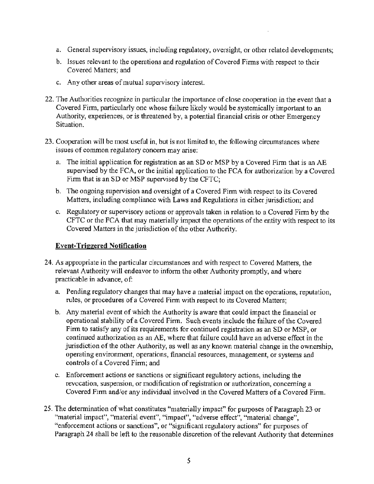- a. General supervisory issues, including regulatory, oversight, or other related developments;
- b. Issues relevant to the operations and regulation of Covered Finns with respect to their Covered Matters; and
- c. Any other areas of mutual supervisory interest.
- 22. The Authorities recognize in particular the importance of close cooperation in the event that a Covered Finn, particularly one whose failure likely would be systemically important to an Authority, experiences, or is threatened by, a potential financial crisis or other Emergency Situation.
- 23. Cooperation will be most useful in, but is not limited to, the following circumstances where issues of common regulatory concern may arise;
	- a. The initial application for registration as an SD or MSP by a Covered Firm that is an AE supervised by the FCA, or the initial application to the FCA for authorization by a Covered Firm that is an SD or MSP supervised by the CFTC:
	- b. The ongoing supervision and oversight of a Covered Firm with respect to its Covered Matters, including compliance with Laws and Regulations in either jurisdiction; and
	- c. Regulatory or supervisory actions or approvals taken in relation to a Covered Firm by the CFTC or the FCA that may materially impact the operations of the entity with respect to its Covered Matters in the jurisdiction of the other Authority.

#### **Event-Triggered Notification**

- 24. As appropriate in the particular circumstances and with respect to Covered Matters, the relevant Authority will endeavor to inform the other Authority promptly, and where practicable in advance, of:
	- a. Pending regulatory changes that may have a material impact on the operations, reputation, rules, or procedures of a Covered Firm with respect to its Covered Matters;
	- b. Any material event of which the Authority is aware that could impact the financial or operational stability of a Covered Firm. Such events include the failure of the Covered Firm to satisfy any of its requirements for continued registration as an SD or MSP, or continued authorization as an AE, where that failure could have an adverse effect in the jurisdiction of the other Authority, as well as any known material change in the ownership, operating environment, operations, financial resources, management, or systems and controls of a Covered Finn; and
	- c. Enforcement actions or sanctions or significant regulatory actions, including **the**  revocation, suspension, or modification of registration or authorization, concerning a Covered Firm and/or any individual involved in the Covered Matters of a Covered Firm.
- 25. The determination of what constitutes "materially impact" for purposes of Paragraph 23 or "material impact", "material event", "impact", "adverse effect", "material change", "enforcement actions or sanctions", or "significant regulatory actions" for purposes of Paragraph 24 shall be left to the reasonable discretion of the relevant Authority that determines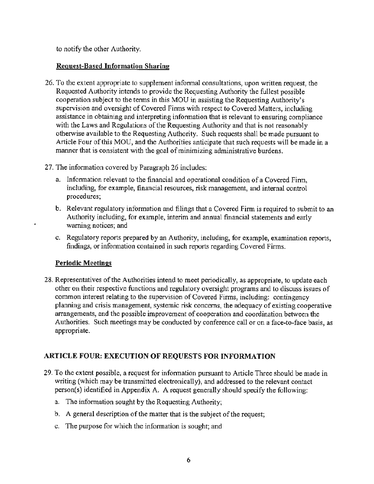to notify the other Authority.

#### **Request-Based Information Sharing**

- 26. To the extent appropriate to supplement informal consultations, upon written request, the Requested Authority intends to provide the Requesting Authority the fullest possible cooperation subject to the terms in this MOU in assisting the Requesting Authority's supervision and oversight of Covered Firms with respect to Covered Matters, including assistance in obtaining and interpreting information that is relevant to ensuring compliance with the Laws and Regulations of the Requesting Authority and that is not reasonably otherwise available to the Requesting Authority. Such requests shall be made pursuant to Article Four of this MOU, and the Authorities anticipate that such requests will be made in a manner that is consistent with the goal of minimizing administrative burdens.
- 27. The information covered by Paragraph 26 includes:
	- a. Information relevant to the financial and operational condition of a Covered Firm, including, for example, financial resources, risk management, and internal control procedures;
	- b. Relevant regulatory information and filings that a Covered Firm is required to submit to an Authority including, for example, interim and annual financial statements and early warning notices; and
	- c. Regulatory reports prepared by an Authority, including, for example, examination reports, findings, or information contained in such reports regarding Covered Firms.

### **Periodic Meetings**

28. Representatives of the Authorities intend to meet periodically, as appropriate, to update each other on their respective functions and regulatory oversight programs and to discuss issues of common interest relating to the supervision of Covered Firms, including: contingency planning and crisis management, systemic risk concerns, the adequacy of existing cooperative arrangements, and the possible improvement of cooperation and coordination between the Authorities. Such meetings may be conducted by conference call or on a face-to-face basis, as appropriate.

# **ARTICLE FOUR: EXECUTION OF REQUESTS FOR INFORMATION**

- 29. To the extent possible, a request for information pursuant to Article Three should be made in writing (which may be transmitted electronically), and addressed to the relevant contact person(s) identified in Appendix A. A request generally should specify the following:
	- a. The information sought by the Requesting Authority;
	- b. A general description of the matter that is the subject of the request;
	- c. The purpose for which the information is sought; and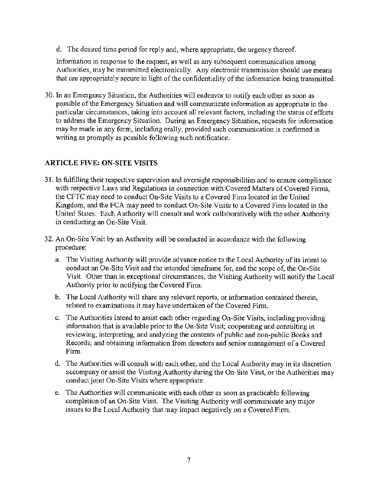d. The desired time period for reply and, where appropriate, the urgency thereof.

Infonnation in response to the request, as well as any subsequent communication among Authorities, may be transmitted electronically. Any electronic transmission should use means that are appropriately secure in light of the confidentiality of the information being transmitted.

30. In an Emergency Situation, the Authorities will endeavor to notify each other as soon as possible of the Emergency Situation and will communicate information as appropriate in the particular circumstances, taking into account all relevant factors, including the status of efforts to address the Emergency Situation. During an Emergency Situation, requests for information may be made in any form, including orally, provided such communication is confirmed in writing as promptly as possible following such notification.

#### **ARTICLE FIVE: ON-SITE VISITS**

- 31. In fulfilling their respective supervision and oversight responsibilities and to ensure compliance with respective Laws and Regulations in connection with Covered Matters of Covered Firms, the CFTC may need to conduct On-Site Visits to a Covered Firm located in the United Kingdom, and the FCA may need to conduct On-Site Visits to a Covered Firm located in the United States. Each Authority will consult and work collaboratively with the other Authority in conducting an On-Site Visit.
- 32. An On-Site Visit by an Authority will be conducted in accordance with the following procedure:
	- a. The Visiting Authority will provide advance notice to the Local Authority of its intent to conduct an On-Site Visit and the intended timeframe for, and the scope of, the On-Site Visit. Other than in exceptional circumstances, the Visiting Authority will notify the Local Authority prior to notifying the Covered Firm.
	- b. The Local Authority will share any relevant reports, or information contained therein, related to examinations it may have undertaken of the Covered Firm.
	- c. The Authorities intend to assist each other regarding On-Site Visits, including providing information that is available prior to the On-Site Visit; cooperating and consulting in reviewing, interpreting, and analyzing the contents of public and non-public Books and Records; and obtaining information from directors and senior management of a Covered Finn.
	- d. The Authorities will consult with each other, and the Local Authority may in its discretion accompany or assist the Visiting Authority during the On-Site Visit, or the Authorities may conduct joint On-Site Visits where appropriate.
	- e. The Authorities will communicate with each other as soon as practicable following completion of an On-Site Visit. The Visiting Authority will communicate any major issues to the Local Authority that may impact negatively on a Covered Firm.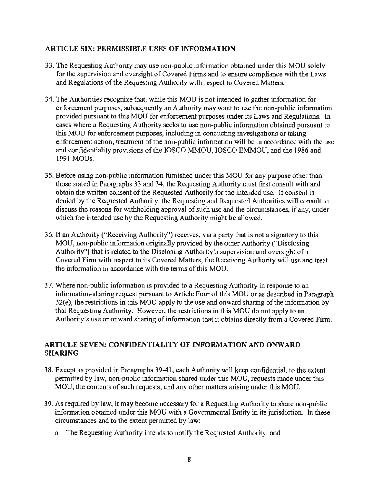#### **ARTICLE SIX: PERMISSIBLE USES OF INFORMATION**

- 33. The Requesting Authority may use non-public information obtained under this MOU solely for the supervision and oversight of Covered Finns and to ensure compliance with the Laws and Regulations of the Requesting Authority with respect to Covered Matters.
- 34. The Authorities recognize that, while this MOU is not intended to gather information for enforcement purposes, subsequently an Authority may want to use the non-public information provided pursuant to this MOU for enforcement purposes under its Laws and Regulations. In cases where a Requesting Authority seeks to use non-public information obtained pursuant to this MOU for enforcement purposes, including in conducting investigations or taking enforcement action, treatment of the non-public information will be in accordance with the use and confidentiality provisions of the IOSCO MMOU, IOSCO EMMOU, and the 1986 and 1991 MOUs.
- 35. Before using non-public information furnished under this MOU for any purpose other than those stated in Paragraphs 33 and 34, the Requesting Authority must first consult with and obtain the written consent of the Requested Authority for the intended use. If consent is denied by the Requested Authority, the Requesting and Requested Authorities will consult to discuss the reasons for withholding approval of such use and the circumstances, if any, under which the intended use by the Requesting Authority might be allowed.
- 36. If an Authority ("Receiving Authority'') receives, via a party that is not a signatory to this MOU, non-public information originally provided by the other Authority ("Disclosing Authority") that is related to the Disclosing Authority's supervision and oversight of a Covered Firm with respect to its Covered Matters, the Receiving Authority will use and treat the information in accordance with the terms of this MOU.
- 37. Where non-public information is provided to a Requesting Authority in response to an information-sharing request pursuant to Article Four of this MOU or as described in Paragraph 32(e), the restrictions in this MOU apply to the use and onward sharing of the information by that Requesting Authority. However, the restrictions in this MOU do not apply to an Authority's use or onward sharing of information that it obtains directly from a Covered Firm.

### **ARTICLE SEVEN: CONFIDENTIALITY OF INFORMATION AND ONWARD SHARING**

- 38. Except as provided in Paragraphs 39-41, each Authority will keep confidential, to the extent permitted by law, non-public information shared under this MOU, requests made under this MOU, the contents of such requests, and any other matters arising under this MOU.
- 39. As required by law, it may become necessary for a Requesting Authority to share non-public information obtained under this MOU with a Governmental Entity in its jurisdiction. In these circumstances and to the extent permitted by law:
	- a. The Requesting Authority intends to notify the Requested Authority; and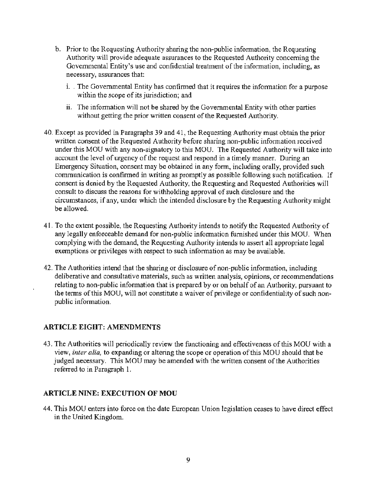- b. Prior to the Requesting Authority sharing the non-public information, the Requesting Authority will provide adequate assurances to the Requested Authority concerning the Governmental Entity's use and confidential treatment of the information, including, as necessary, assurances that:
	- i. The Governmental Entity has confirmed that it requires the information for a purpose within the scope of its jurisdiction; and
	- ii. The information will not be shared by the Governmental Entity with other parties without getting the prior written consent of the Requested Authority.
- 40. Except as provided in Paragraphs 39 and 41, the Requesting Authority must obtain the prior written consent of the Requested Authority before sharing non-public information received under this MOU with any non-signatory to this MOU. The Requested Authority will take into account the level of urgency of the request and respond in a timely manner. During an Emergency Situation, consent may be obtained in any form, including orally, provided such communication is confirmed in writing as promptly as possible following such notification. If consent is denied by the Requested Authority, the Requesting and Requested Authorities will consult to discuss the reasons for withholding approval of such disclosure and the circumstances, if any, under which the intended disclosure by the Requesting Authority might be allowed.
- 41. To the extent possible, the Requesting Authority intends to notify the Requested Authority of any legally enforceable demand for non-public information furnished under this MOU. When complying with the demand, the Requesting Authority intends to assert all appropriate legal exemptions or privileges with respect to such information as may be available.
- 42. The Authorities intend that the sharing or disclosure of non-public information, including deliberative and consultative materials, such as written analysis, opinions, or recommendations relating to non-public information that is prepared by or on behalf of an Authority, pursuant to the terms of this MOU, will not constitute a waiver of privilege or confidentiality of such nonpublic information.

#### **ARTICLE EIGHT: AMENDMENTS**

43. The Authorities will periodically review the functioning and effectiveness of this MOU with a view, *inter alia,* to expanding or altering the scope or operation of this MOU should that be judged necessary. This MOU may be amended with the written consent of the Authorities referred to in Paragraph 1.

#### **ARTICLE NINE: EXECUTION OF MOU**

44. This MOU enters into force on the date European Union legislation ceases to have direct effect in the United Kingdom.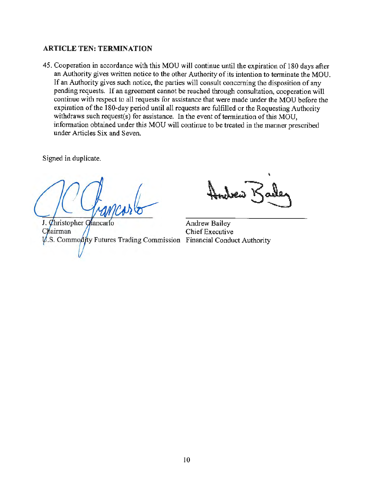#### **ARTICLE TEN: TERMINATION**

45. Cooperation in accordance with this MOU will continue until the expiration of 180 days after an Authority gives written notice to the other Authority of its intention to terminate the MOU. If an Authority gives such notice, the parties will consult concerning the disposition of any pending requests. If an agreement cannot be reached through consultation, cooperation will continue with respect to all requests for assistance that were made under the MOU before the expiration of the 180-day period until all requests are fulfilled or the Requesting Authority withdraws such request(s) for assistance. In the event of termination of this MOU, infonnation obtained under this MOU will continue to be treated in the manner prescribed under Articles Six and Seven.

Signed in duplicate.

J. Christopher Ghancarlo Chairman  $\psi$ .S. Commodity Futures Trading Commission Financial Conduct Authority

Andrew Bailey Chief Executive